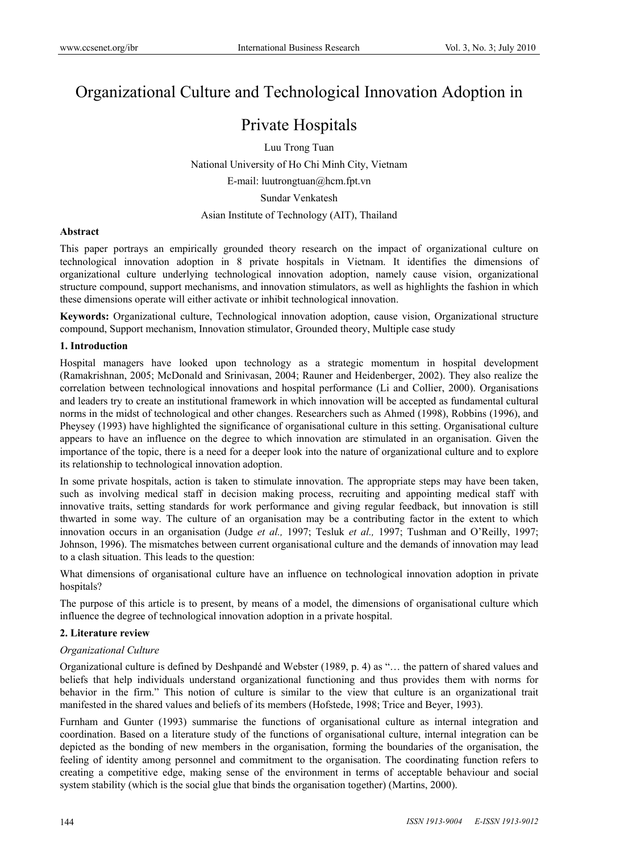# Organizational Culture and Technological Innovation Adoption in

# Private Hospitals

Luu Trong Tuan National University of Ho Chi Minh City, Vietnam E-mail: luutrongtuan@hcm.fpt.vn Sundar Venkatesh Asian Institute of Technology (AIT), Thailand

## **Abstract**

This paper portrays an empirically grounded theory research on the impact of organizational culture on technological innovation adoption in 8 private hospitals in Vietnam. It identifies the dimensions of organizational culture underlying technological innovation adoption, namely cause vision, organizational structure compound, support mechanisms, and innovation stimulators, as well as highlights the fashion in which these dimensions operate will either activate or inhibit technological innovation.

**Keywords:** Organizational culture, Technological innovation adoption, cause vision, Organizational structure compound, Support mechanism, Innovation stimulator, Grounded theory, Multiple case study

#### **1. Introduction**

Hospital managers have looked upon technology as a strategic momentum in hospital development (Ramakrishnan, 2005; McDonald and Srinivasan, 2004; Rauner and Heidenberger, 2002). They also realize the correlation between technological innovations and hospital performance (Li and Collier, 2000). Organisations and leaders try to create an institutional framework in which innovation will be accepted as fundamental cultural norms in the midst of technological and other changes. Researchers such as Ahmed (1998), Robbins (1996), and Pheysey (1993) have highlighted the significance of organisational culture in this setting. Organisational culture appears to have an influence on the degree to which innovation are stimulated in an organisation. Given the importance of the topic, there is a need for a deeper look into the nature of organizational culture and to explore its relationship to technological innovation adoption.

In some private hospitals, action is taken to stimulate innovation. The appropriate steps may have been taken, such as involving medical staff in decision making process, recruiting and appointing medical staff with innovative traits, setting standards for work performance and giving regular feedback, but innovation is still thwarted in some way. The culture of an organisation may be a contributing factor in the extent to which innovation occurs in an organisation (Judge *et al.,* 1997; Tesluk *et al.,* 1997; Tushman and O'Reilly, 1997; Johnson, 1996). The mismatches between current organisational culture and the demands of innovation may lead to a clash situation. This leads to the question:

What dimensions of organisational culture have an influence on technological innovation adoption in private hospitals?

The purpose of this article is to present, by means of a model, the dimensions of organisational culture which influence the degree of technological innovation adoption in a private hospital.

## **2. Literature review**

## *Organizational Culture*

Organizational culture is defined by Deshpandé and Webster (1989, p. 4) as "… the pattern of shared values and beliefs that help individuals understand organizational functioning and thus provides them with norms for behavior in the firm." This notion of culture is similar to the view that culture is an organizational trait manifested in the shared values and beliefs of its members (Hofstede, 1998; Trice and Beyer, 1993).

Furnham and Gunter (1993) summarise the functions of organisational culture as internal integration and coordination. Based on a literature study of the functions of organisational culture, internal integration can be depicted as the bonding of new members in the organisation, forming the boundaries of the organisation, the feeling of identity among personnel and commitment to the organisation. The coordinating function refers to creating a competitive edge, making sense of the environment in terms of acceptable behaviour and social system stability (which is the social glue that binds the organisation together) (Martins, 2000).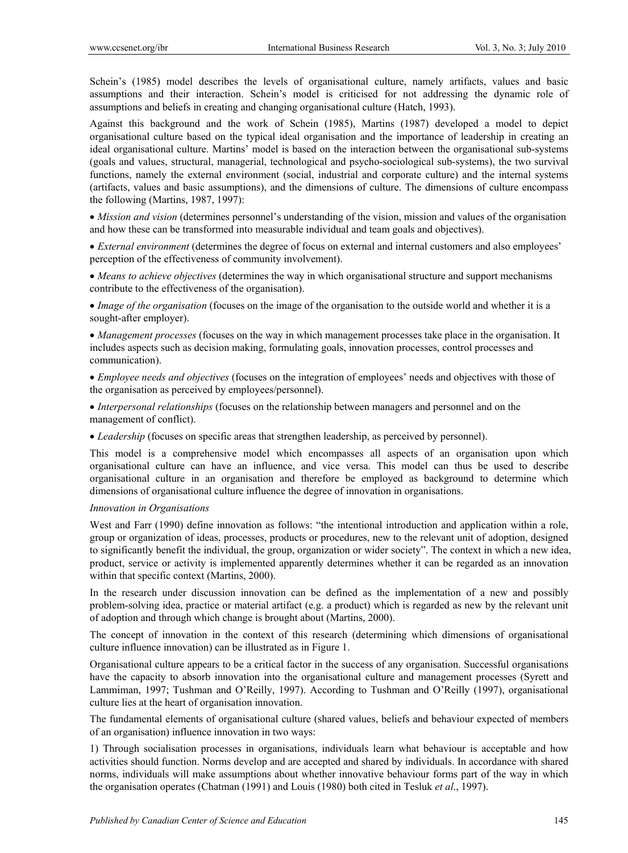Schein's (1985) model describes the levels of organisational culture, namely artifacts, values and basic assumptions and their interaction. Schein's model is criticised for not addressing the dynamic role of assumptions and beliefs in creating and changing organisational culture (Hatch, 1993).

Against this background and the work of Schein (1985), Martins (1987) developed a model to depict organisational culture based on the typical ideal organisation and the importance of leadership in creating an ideal organisational culture. Martins' model is based on the interaction between the organisational sub-systems (goals and values, structural, managerial, technological and psycho-sociological sub-systems), the two survival functions, namely the external environment (social, industrial and corporate culture) and the internal systems (artifacts, values and basic assumptions), and the dimensions of culture. The dimensions of culture encompass the following (Martins, 1987, 1997):

• *Mission and vision* (determines personnel's understanding of the vision, mission and values of the organisation and how these can be transformed into measurable individual and team goals and objectives).

• *External environment* (determines the degree of focus on external and internal customers and also employees' perception of the effectiveness of community involvement).

• *Means to achieve objectives* (determines the way in which organisational structure and support mechanisms contribute to the effectiveness of the organisation).

• *Image of the organisation* (focuses on the image of the organisation to the outside world and whether it is a sought-after employer).

• *Management processes* (focuses on the way in which management processes take place in the organisation. It includes aspects such as decision making, formulating goals, innovation processes, control processes and communication).

• *Employee needs and objectives* (focuses on the integration of employees' needs and objectives with those of the organisation as perceived by employees/personnel).

• *Interpersonal relationships* (focuses on the relationship between managers and personnel and on the management of conflict).

• *Leadership* (focuses on specific areas that strengthen leadership, as perceived by personnel).

This model is a comprehensive model which encompasses all aspects of an organisation upon which organisational culture can have an influence, and vice versa. This model can thus be used to describe organisational culture in an organisation and therefore be employed as background to determine which dimensions of organisational culture influence the degree of innovation in organisations.

## *Innovation in Organisations*

West and Farr (1990) define innovation as follows: "the intentional introduction and application within a role, group or organization of ideas, processes, products or procedures, new to the relevant unit of adoption, designed to significantly benefit the individual, the group, organization or wider society". The context in which a new idea, product, service or activity is implemented apparently determines whether it can be regarded as an innovation within that specific context (Martins, 2000).

In the research under discussion innovation can be defined as the implementation of a new and possibly problem-solving idea, practice or material artifact (e.g. a product) which is regarded as new by the relevant unit of adoption and through which change is brought about (Martins, 2000).

The concept of innovation in the context of this research (determining which dimensions of organisational culture influence innovation) can be illustrated as in Figure 1.

Organisational culture appears to be a critical factor in the success of any organisation. Successful organisations have the capacity to absorb innovation into the organisational culture and management processes (Syrett and Lammiman, 1997; Tushman and O'Reilly, 1997). According to Tushman and O'Reilly (1997), organisational culture lies at the heart of organisation innovation.

The fundamental elements of organisational culture (shared values, beliefs and behaviour expected of members of an organisation) influence innovation in two ways:

1) Through socialisation processes in organisations, individuals learn what behaviour is acceptable and how activities should function. Norms develop and are accepted and shared by individuals. In accordance with shared norms, individuals will make assumptions about whether innovative behaviour forms part of the way in which the organisation operates (Chatman (1991) and Louis (1980) both cited in Tesluk *et al*., 1997).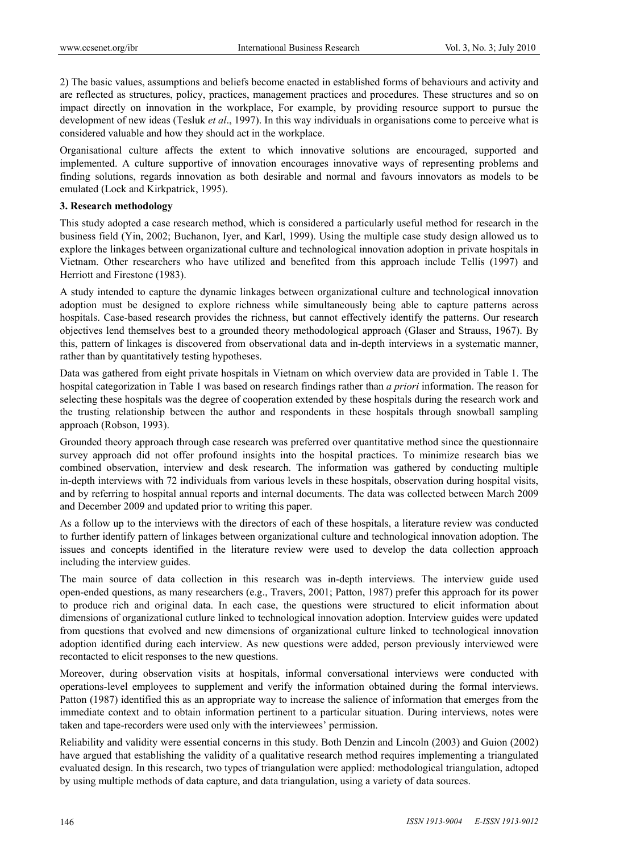2) The basic values, assumptions and beliefs become enacted in established forms of behaviours and activity and are reflected as structures, policy, practices, management practices and procedures. These structures and so on impact directly on innovation in the workplace, For example, by providing resource support to pursue the development of new ideas (Tesluk *et al*., 1997). In this way individuals in organisations come to perceive what is considered valuable and how they should act in the workplace.

Organisational culture affects the extent to which innovative solutions are encouraged, supported and implemented. A culture supportive of innovation encourages innovative ways of representing problems and finding solutions, regards innovation as both desirable and normal and favours innovators as models to be emulated (Lock and Kirkpatrick, 1995).

### **3. Research methodology**

This study adopted a case research method, which is considered a particularly useful method for research in the business field (Yin, 2002; Buchanon, Iyer, and Karl, 1999). Using the multiple case study design allowed us to explore the linkages between organizational culture and technological innovation adoption in private hospitals in Vietnam. Other researchers who have utilized and benefited from this approach include Tellis (1997) and Herriott and Firestone (1983).

A study intended to capture the dynamic linkages between organizational culture and technological innovation adoption must be designed to explore richness while simultaneously being able to capture patterns across hospitals. Case-based research provides the richness, but cannot effectively identify the patterns. Our research objectives lend themselves best to a grounded theory methodological approach (Glaser and Strauss, 1967). By this, pattern of linkages is discovered from observational data and in-depth interviews in a systematic manner, rather than by quantitatively testing hypotheses.

Data was gathered from eight private hospitals in Vietnam on which overview data are provided in Table 1. The hospital categorization in Table 1 was based on research findings rather than *a priori* information. The reason for selecting these hospitals was the degree of cooperation extended by these hospitals during the research work and the trusting relationship between the author and respondents in these hospitals through snowball sampling approach (Robson, 1993).

Grounded theory approach through case research was preferred over quantitative method since the questionnaire survey approach did not offer profound insights into the hospital practices. To minimize research bias we combined observation, interview and desk research. The information was gathered by conducting multiple in-depth interviews with 72 individuals from various levels in these hospitals, observation during hospital visits, and by referring to hospital annual reports and internal documents. The data was collected between March 2009 and December 2009 and updated prior to writing this paper.

As a follow up to the interviews with the directors of each of these hospitals, a literature review was conducted to further identify pattern of linkages between organizational culture and technological innovation adoption. The issues and concepts identified in the literature review were used to develop the data collection approach including the interview guides.

The main source of data collection in this research was in-depth interviews. The interview guide used open-ended questions, as many researchers (e.g., Travers, 2001; Patton, 1987) prefer this approach for its power to produce rich and original data. In each case, the questions were structured to elicit information about dimensions of organizational cutlure linked to technological innovation adoption. Interview guides were updated from questions that evolved and new dimensions of organizational culture linked to technological innovation adoption identified during each interview. As new questions were added, person previously interviewed were recontacted to elicit responses to the new questions.

Moreover, during observation visits at hospitals, informal conversational interviews were conducted with operations-level employees to supplement and verify the information obtained during the formal interviews. Patton (1987) identified this as an appropriate way to increase the salience of information that emerges from the immediate context and to obtain information pertinent to a particular situation. During interviews, notes were taken and tape-recorders were used only with the interviewees' permission.

Reliability and validity were essential concerns in this study. Both Denzin and Lincoln (2003) and Guion (2002) have argued that establishing the validity of a qualitative research method requires implementing a triangulated evaluated design. In this research, two types of triangulation were applied: methodological triangulation, adtoped by using multiple methods of data capture, and data triangulation, using a variety of data sources.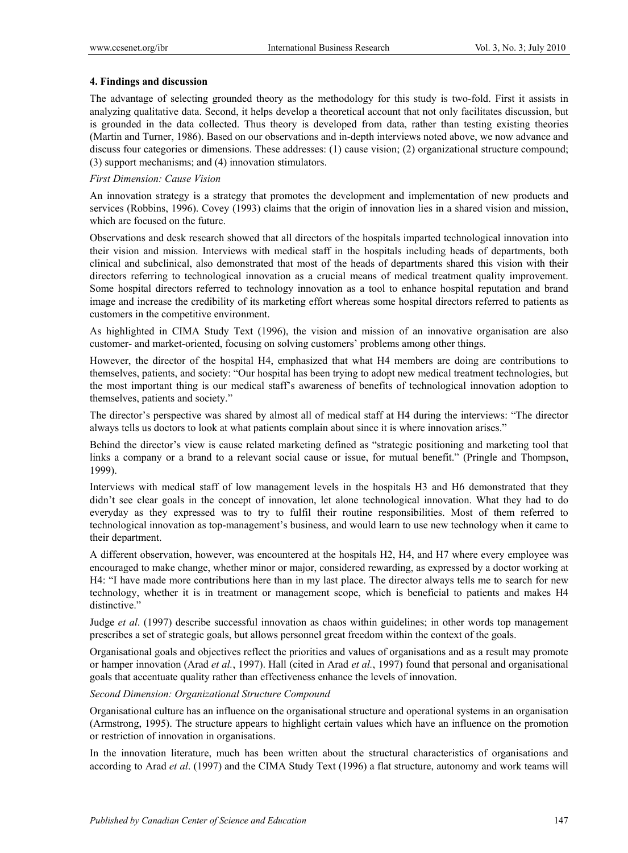## **4. Findings and discussion**

The advantage of selecting grounded theory as the methodology for this study is two-fold. First it assists in analyzing qualitative data. Second, it helps develop a theoretical account that not only facilitates discussion, but is grounded in the data collected. Thus theory is developed from data, rather than testing existing theories (Martin and Turner, 1986). Based on our observations and in-depth interviews noted above, we now advance and discuss four categories or dimensions. These addresses: (1) cause vision; (2) organizational structure compound; (3) support mechanisms; and (4) innovation stimulators.

## *First Dimension: Cause Vision*

An innovation strategy is a strategy that promotes the development and implementation of new products and services (Robbins, 1996). Covey (1993) claims that the origin of innovation lies in a shared vision and mission, which are focused on the future.

Observations and desk research showed that all directors of the hospitals imparted technological innovation into their vision and mission. Interviews with medical staff in the hospitals including heads of departments, both clinical and subclinical, also demonstrated that most of the heads of departments shared this vision with their directors referring to technological innovation as a crucial means of medical treatment quality improvement. Some hospital directors referred to technology innovation as a tool to enhance hospital reputation and brand image and increase the credibility of its marketing effort whereas some hospital directors referred to patients as customers in the competitive environment.

As highlighted in CIMA Study Text (1996), the vision and mission of an innovative organisation are also customer- and market-oriented, focusing on solving customers' problems among other things.

However, the director of the hospital H4, emphasized that what H4 members are doing are contributions to themselves, patients, and society: "Our hospital has been trying to adopt new medical treatment technologies, but the most important thing is our medical staff's awareness of benefits of technological innovation adoption to themselves, patients and society."

The director's perspective was shared by almost all of medical staff at H4 during the interviews: "The director always tells us doctors to look at what patients complain about since it is where innovation arises."

Behind the director's view is cause related marketing defined as "strategic positioning and marketing tool that links a company or a brand to a relevant social cause or issue, for mutual benefit." (Pringle and Thompson, 1999).

Interviews with medical staff of low management levels in the hospitals H3 and H6 demonstrated that they didn't see clear goals in the concept of innovation, let alone technological innovation. What they had to do everyday as they expressed was to try to fulfil their routine responsibilities. Most of them referred to technological innovation as top-management's business, and would learn to use new technology when it came to their department.

A different observation, however, was encountered at the hospitals H2, H4, and H7 where every employee was encouraged to make change, whether minor or major, considered rewarding, as expressed by a doctor working at H4: "I have made more contributions here than in my last place. The director always tells me to search for new technology, whether it is in treatment or management scope, which is beneficial to patients and makes H4 distinctive."

Judge *et al*. (1997) describe successful innovation as chaos within guidelines; in other words top management prescribes a set of strategic goals, but allows personnel great freedom within the context of the goals.

Organisational goals and objectives reflect the priorities and values of organisations and as a result may promote or hamper innovation (Arad *et al.*, 1997). Hall (cited in Arad *et al.*, 1997) found that personal and organisational goals that accentuate quality rather than effectiveness enhance the levels of innovation.

*Second Dimension: Organizational Structure Compound* 

Organisational culture has an influence on the organisational structure and operational systems in an organisation (Armstrong, 1995). The structure appears to highlight certain values which have an influence on the promotion or restriction of innovation in organisations.

In the innovation literature, much has been written about the structural characteristics of organisations and according to Arad *et al*. (1997) and the CIMA Study Text (1996) a flat structure, autonomy and work teams will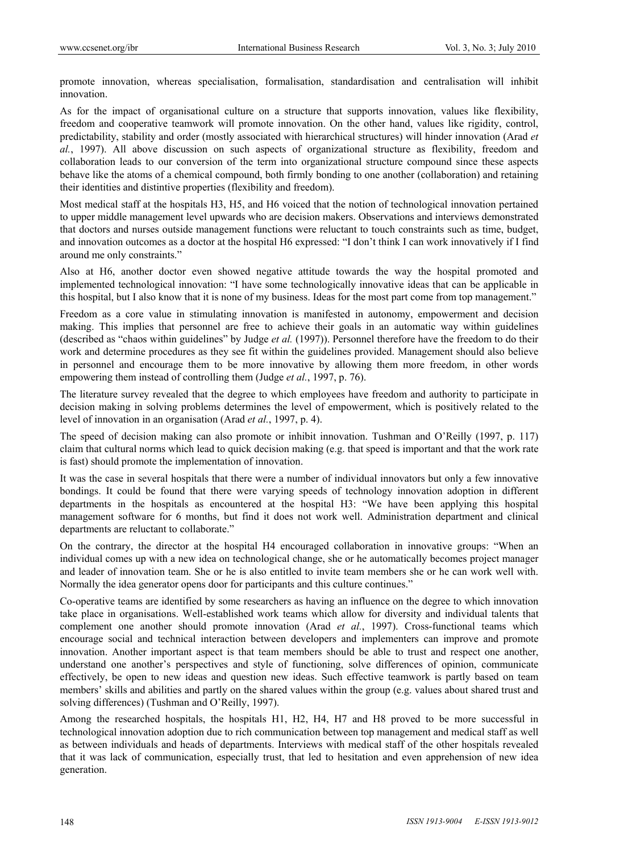promote innovation, whereas specialisation, formalisation, standardisation and centralisation will inhibit innovation.

As for the impact of organisational culture on a structure that supports innovation, values like flexibility, freedom and cooperative teamwork will promote innovation. On the other hand, values like rigidity, control, predictability, stability and order (mostly associated with hierarchical structures) will hinder innovation (Arad *et al.*, 1997). All above discussion on such aspects of organizational structure as flexibility, freedom and collaboration leads to our conversion of the term into organizational structure compound since these aspects behave like the atoms of a chemical compound, both firmly bonding to one another (collaboration) and retaining their identities and distintive properties (flexibility and freedom).

Most medical staff at the hospitals H3, H5, and H6 voiced that the notion of technological innovation pertained to upper middle management level upwards who are decision makers. Observations and interviews demonstrated that doctors and nurses outside management functions were reluctant to touch constraints such as time, budget, and innovation outcomes as a doctor at the hospital H6 expressed: "I don't think I can work innovatively if I find around me only constraints."

Also at H6, another doctor even showed negative attitude towards the way the hospital promoted and implemented technological innovation: "I have some technologically innovative ideas that can be applicable in this hospital, but I also know that it is none of my business. Ideas for the most part come from top management."

Freedom as a core value in stimulating innovation is manifested in autonomy, empowerment and decision making. This implies that personnel are free to achieve their goals in an automatic way within guidelines (described as "chaos within guidelines" by Judge *et al.* (1997)). Personnel therefore have the freedom to do their work and determine procedures as they see fit within the guidelines provided. Management should also believe in personnel and encourage them to be more innovative by allowing them more freedom, in other words empowering them instead of controlling them (Judge *et al.*, 1997, p. 76).

The literature survey revealed that the degree to which employees have freedom and authority to participate in decision making in solving problems determines the level of empowerment, which is positively related to the level of innovation in an organisation (Arad *et al.*, 1997, p. 4).

The speed of decision making can also promote or inhibit innovation. Tushman and O'Reilly (1997, p. 117) claim that cultural norms which lead to quick decision making (e.g. that speed is important and that the work rate is fast) should promote the implementation of innovation.

It was the case in several hospitals that there were a number of individual innovators but only a few innovative bondings. It could be found that there were varying speeds of technology innovation adoption in different departments in the hospitals as encountered at the hospital H3: "We have been applying this hospital management software for 6 months, but find it does not work well. Administration department and clinical departments are reluctant to collaborate."

On the contrary, the director at the hospital H4 encouraged collaboration in innovative groups: "When an individual comes up with a new idea on technological change, she or he automatically becomes project manager and leader of innovation team. She or he is also entitled to invite team members she or he can work well with. Normally the idea generator opens door for participants and this culture continues."

Co-operative teams are identified by some researchers as having an influence on the degree to which innovation take place in organisations. Well-established work teams which allow for diversity and individual talents that complement one another should promote innovation (Arad *et al.*, 1997). Cross-functional teams which encourage social and technical interaction between developers and implementers can improve and promote innovation. Another important aspect is that team members should be able to trust and respect one another, understand one another's perspectives and style of functioning, solve differences of opinion, communicate effectively, be open to new ideas and question new ideas. Such effective teamwork is partly based on team members' skills and abilities and partly on the shared values within the group (e.g. values about shared trust and solving differences) (Tushman and O'Reilly, 1997).

Among the researched hospitals, the hospitals H1, H2, H4, H7 and H8 proved to be more successful in technological innovation adoption due to rich communication between top management and medical staff as well as between individuals and heads of departments. Interviews with medical staff of the other hospitals revealed that it was lack of communication, especially trust, that led to hesitation and even apprehension of new idea generation.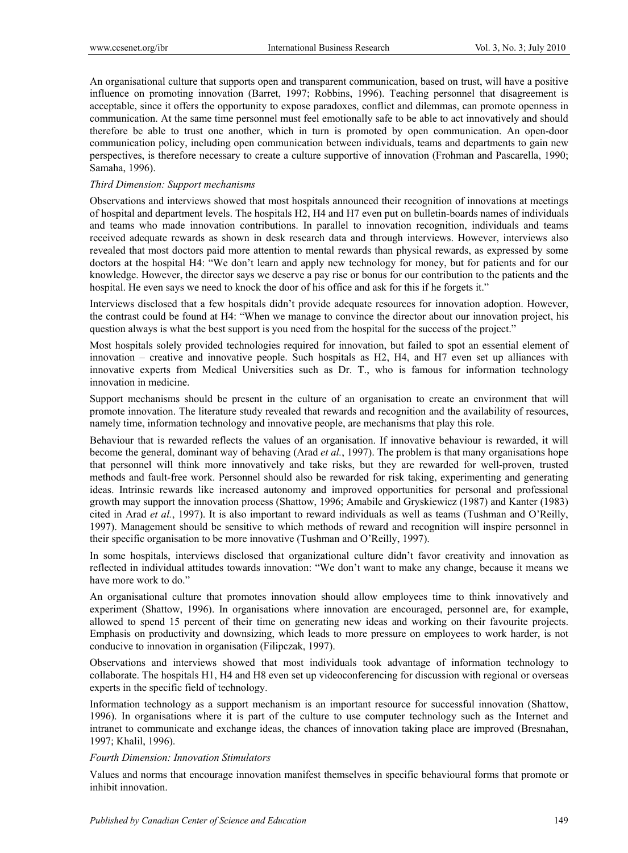An organisational culture that supports open and transparent communication, based on trust, will have a positive influence on promoting innovation (Barret, 1997; Robbins, 1996). Teaching personnel that disagreement is acceptable, since it offers the opportunity to expose paradoxes, conflict and dilemmas, can promote openness in communication. At the same time personnel must feel emotionally safe to be able to act innovatively and should therefore be able to trust one another, which in turn is promoted by open communication. An open-door communication policy, including open communication between individuals, teams and departments to gain new perspectives, is therefore necessary to create a culture supportive of innovation (Frohman and Pascarella, 1990; Samaha, 1996).

## *Third Dimension: Support mechanisms*

Observations and interviews showed that most hospitals announced their recognition of innovations at meetings of hospital and department levels. The hospitals H2, H4 and H7 even put on bulletin-boards names of individuals and teams who made innovation contributions. In parallel to innovation recognition, individuals and teams received adequate rewards as shown in desk research data and through interviews. However, interviews also revealed that most doctors paid more attention to mental rewards than physical rewards, as expressed by some doctors at the hospital H4: "We don't learn and apply new technology for money, but for patients and for our knowledge. However, the director says we deserve a pay rise or bonus for our contribution to the patients and the hospital. He even says we need to knock the door of his office and ask for this if he forgets it."

Interviews disclosed that a few hospitals didn't provide adequate resources for innovation adoption. However, the contrast could be found at H4: "When we manage to convince the director about our innovation project, his question always is what the best support is you need from the hospital for the success of the project."

Most hospitals solely provided technologies required for innovation, but failed to spot an essential element of innovation – creative and innovative people. Such hospitals as H2, H4, and H7 even set up alliances with innovative experts from Medical Universities such as Dr. T., who is famous for information technology innovation in medicine.

Support mechanisms should be present in the culture of an organisation to create an environment that will promote innovation. The literature study revealed that rewards and recognition and the availability of resources, namely time, information technology and innovative people, are mechanisms that play this role.

Behaviour that is rewarded reflects the values of an organisation. If innovative behaviour is rewarded, it will become the general, dominant way of behaving (Arad *et al.*, 1997). The problem is that many organisations hope that personnel will think more innovatively and take risks, but they are rewarded for well-proven, trusted methods and fault-free work. Personnel should also be rewarded for risk taking, experimenting and generating ideas. Intrinsic rewards like increased autonomy and improved opportunities for personal and professional growth may support the innovation process (Shattow, 1996; Amabile and Gryskiewicz (1987) and Kanter (1983) cited in Arad *et al.*, 1997). It is also important to reward individuals as well as teams (Tushman and O'Reilly, 1997). Management should be sensitive to which methods of reward and recognition will inspire personnel in their specific organisation to be more innovative (Tushman and O'Reilly, 1997).

In some hospitals, interviews disclosed that organizational culture didn't favor creativity and innovation as reflected in individual attitudes towards innovation: "We don't want to make any change, because it means we have more work to do."

An organisational culture that promotes innovation should allow employees time to think innovatively and experiment (Shattow, 1996). In organisations where innovation are encouraged, personnel are, for example, allowed to spend 15 percent of their time on generating new ideas and working on their favourite projects. Emphasis on productivity and downsizing, which leads to more pressure on employees to work harder, is not conducive to innovation in organisation (Filipczak, 1997).

Observations and interviews showed that most individuals took advantage of information technology to collaborate. The hospitals H1, H4 and H8 even set up videoconferencing for discussion with regional or overseas experts in the specific field of technology.

Information technology as a support mechanism is an important resource for successful innovation (Shattow, 1996). In organisations where it is part of the culture to use computer technology such as the Internet and intranet to communicate and exchange ideas, the chances of innovation taking place are improved (Bresnahan, 1997; Khalil, 1996).

## *Fourth Dimension: Innovation Stimulators*

Values and norms that encourage innovation manifest themselves in specific behavioural forms that promote or inhibit innovation.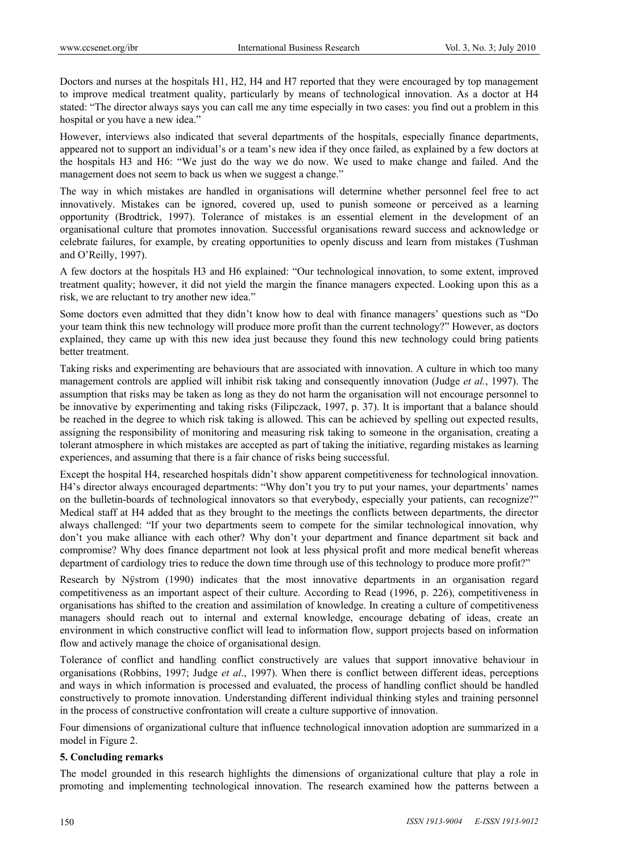Doctors and nurses at the hospitals H1, H2, H4 and H7 reported that they were encouraged by top management to improve medical treatment quality, particularly by means of technological innovation. As a doctor at H4 stated: "The director always says you can call me any time especially in two cases: you find out a problem in this hospital or you have a new idea."

However, interviews also indicated that several departments of the hospitals, especially finance departments, appeared not to support an individual's or a team's new idea if they once failed, as explained by a few doctors at the hospitals H3 and H6: "We just do the way we do now. We used to make change and failed. And the management does not seem to back us when we suggest a change."

The way in which mistakes are handled in organisations will determine whether personnel feel free to act innovatively. Mistakes can be ignored, covered up, used to punish someone or perceived as a learning opportunity (Brodtrick, 1997). Tolerance of mistakes is an essential element in the development of an organisational culture that promotes innovation. Successful organisations reward success and acknowledge or celebrate failures, for example, by creating opportunities to openly discuss and learn from mistakes (Tushman and O'Reilly, 1997).

A few doctors at the hospitals H3 and H6 explained: "Our technological innovation, to some extent, improved treatment quality; however, it did not yield the margin the finance managers expected. Looking upon this as a risk, we are reluctant to try another new idea."

Some doctors even admitted that they didn't know how to deal with finance managers' questions such as "Do your team think this new technology will produce more profit than the current technology?" However, as doctors explained, they came up with this new idea just because they found this new technology could bring patients better treatment.

Taking risks and experimenting are behaviours that are associated with innovation. A culture in which too many management controls are applied will inhibit risk taking and consequently innovation (Judge *et al.*, 1997). The assumption that risks may be taken as long as they do not harm the organisation will not encourage personnel to be innovative by experimenting and taking risks (Filipczack, 1997, p. 37). It is important that a balance should be reached in the degree to which risk taking is allowed. This can be achieved by spelling out expected results, assigning the responsibility of monitoring and measuring risk taking to someone in the organisation, creating a tolerant atmosphere in which mistakes are accepted as part of taking the initiative, regarding mistakes as learning experiences, and assuming that there is a fair chance of risks being successful.

Except the hospital H4, researched hospitals didn't show apparent competitiveness for technological innovation. H4's director always encouraged departments: "Why don't you try to put your names, your departments' names on the bulletin-boards of technological innovators so that everybody, especially your patients, can recognize?" Medical staff at H4 added that as they brought to the meetings the conflicts between departments, the director always challenged: "If your two departments seem to compete for the similar technological innovation, why don't you make alliance with each other? Why don't your department and finance department sit back and compromise? Why does finance department not look at less physical profit and more medical benefit whereas department of cardiology tries to reduce the down time through use of this technology to produce more profit?"

Research by Nÿstrom (1990) indicates that the most innovative departments in an organisation regard competitiveness as an important aspect of their culture. According to Read (1996, p. 226), competitiveness in organisations has shifted to the creation and assimilation of knowledge. In creating a culture of competitiveness managers should reach out to internal and external knowledge, encourage debating of ideas, create an environment in which constructive conflict will lead to information flow, support projects based on information flow and actively manage the choice of organisational design.

Tolerance of conflict and handling conflict constructively are values that support innovative behaviour in organisations (Robbins, 1997; Judge *et al*., 1997). When there is conflict between different ideas, perceptions and ways in which information is processed and evaluated, the process of handling conflict should be handled constructively to promote innovation. Understanding different individual thinking styles and training personnel in the process of constructive confrontation will create a culture supportive of innovation.

Four dimensions of organizational culture that influence technological innovation adoption are summarized in a model in Figure 2.

## **5. Concluding remarks**

The model grounded in this research highlights the dimensions of organizational culture that play a role in promoting and implementing technological innovation. The research examined how the patterns between a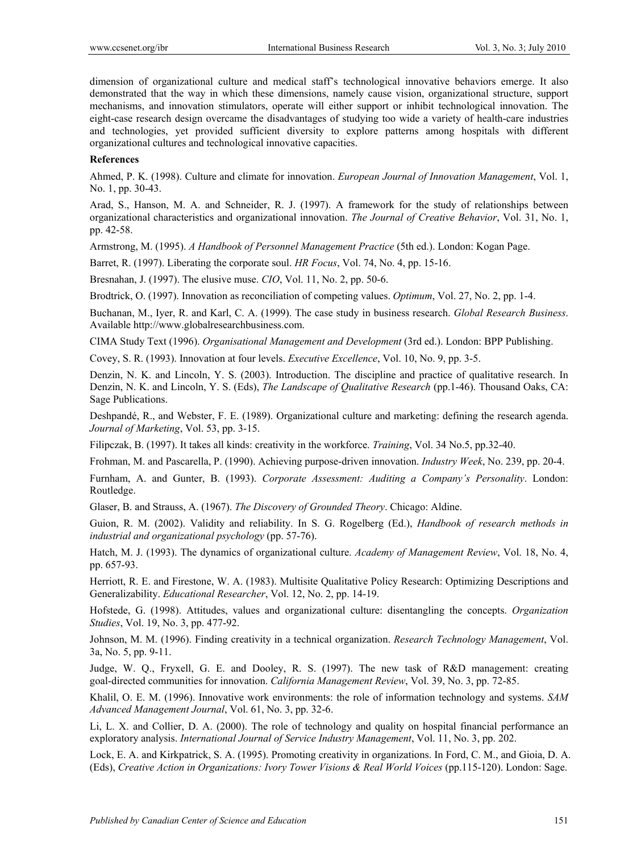dimension of organizational culture and medical staff's technological innovative behaviors emerge. It also demonstrated that the way in which these dimensions, namely cause vision, organizational structure, support mechanisms, and innovation stimulators, operate will either support or inhibit technological innovation. The eight-case research design overcame the disadvantages of studying too wide a variety of health-care industries and technologies, yet provided sufficient diversity to explore patterns among hospitals with different organizational cultures and technological innovative capacities.

### **References**

Ahmed, P. K. (1998). Culture and climate for innovation. *European Journal of Innovation Management*, Vol. 1, No. 1, pp. 30-43.

Arad, S., Hanson, M. A. and Schneider, R. J. (1997). A framework for the study of relationships between organizational characteristics and organizational innovation. *The Journal of Creative Behavior*, Vol. 31, No. 1, pp. 42-58.

Armstrong, M. (1995). *A Handbook of Personnel Management Practice* (5th ed.). London: Kogan Page.

Barret, R. (1997). Liberating the corporate soul. *HR Focus*, Vol. 74, No. 4, pp. 15-16.

Bresnahan, J. (1997). The elusive muse. *CIO*, Vol. 11, No. 2, pp. 50-6.

Brodtrick, O. (1997). Innovation as reconciliation of competing values. *Optimum*, Vol. 27, No. 2, pp. 1-4.

Buchanan, M., Iyer, R. and Karl, C. A. (1999). The case study in business research. *Global Research Business*. Available http://www.globalresearchbusiness.com.

CIMA Study Text (1996). *Organisational Management and Development* (3rd ed.). London: BPP Publishing.

Covey, S. R. (1993). Innovation at four levels. *Executive Excellence*, Vol. 10, No. 9, pp. 3-5.

Denzin, N. K. and Lincoln, Y. S. (2003). Introduction. The discipline and practice of qualitative research. In Denzin, N. K. and Lincoln, Y. S. (Eds), *The Landscape of Qualitative Research* (pp.1-46). Thousand Oaks, CA: Sage Publications.

Deshpandé, R., and Webster, F. E. (1989). Organizational culture and marketing: defining the research agenda. *Journal of Marketing*, Vol. 53, pp. 3-15.

Filipczak, B. (1997). It takes all kinds: creativity in the workforce. *Training*, Vol. 34 No.5, pp.32-40.

Frohman, M. and Pascarella, P. (1990). Achieving purpose-driven innovation. *Industry Week*, No. 239, pp. 20-4.

Furnham, A. and Gunter, B. (1993). *Corporate Assessment: Auditing a Company's Personality*. London: Routledge.

Glaser, B. and Strauss, A. (1967). *The Discovery of Grounded Theory*. Chicago: Aldine.

Guion, R. M. (2002). Validity and reliability. In S. G. Rogelberg (Ed.), *Handbook of research methods in industrial and organizational psychology* (pp. 57-76).

Hatch, M. J. (1993). The dynamics of organizational culture. *Academy of Management Review*, Vol. 18, No. 4, pp. 657-93.

Herriott, R. E. and Firestone, W. A. (1983). Multisite Qualitative Policy Research: Optimizing Descriptions and Generalizability. *Educational Researcher*, Vol. 12, No. 2, pp. 14-19.

Hofstede, G. (1998). Attitudes, values and organizational culture: disentangling the concepts. *Organization Studies*, Vol. 19, No. 3, pp. 477-92.

Johnson, M. M. (1996). Finding creativity in a technical organization. *Research Technology Management*, Vol. 3a, No. 5, pp. 9-11.

Judge, W. Q., Fryxell, G. E. and Dooley, R. S. (1997). The new task of R&D management: creating goal-directed communities for innovation. *California Management Review*, Vol. 39, No. 3, pp. 72-85.

Khalil, O. E. M. (1996). Innovative work environments: the role of information technology and systems. *SAM Advanced Management Journal*, Vol. 61, No. 3, pp. 32-6.

Li, L. X. and Collier, D. A. (2000). The role of technology and quality on hospital financial performance an exploratory analysis. *International Journal of Service Industry Management*, Vol. 11, No. 3, pp. 202.

Lock, E. A. and Kirkpatrick, S. A. (1995). Promoting creativity in organizations. In Ford, C. M., and Gioia, D. A. (Eds), *Creative Action in Organizations: Ivory Tower Visions & Real World Voices* (pp.115-120). London: Sage.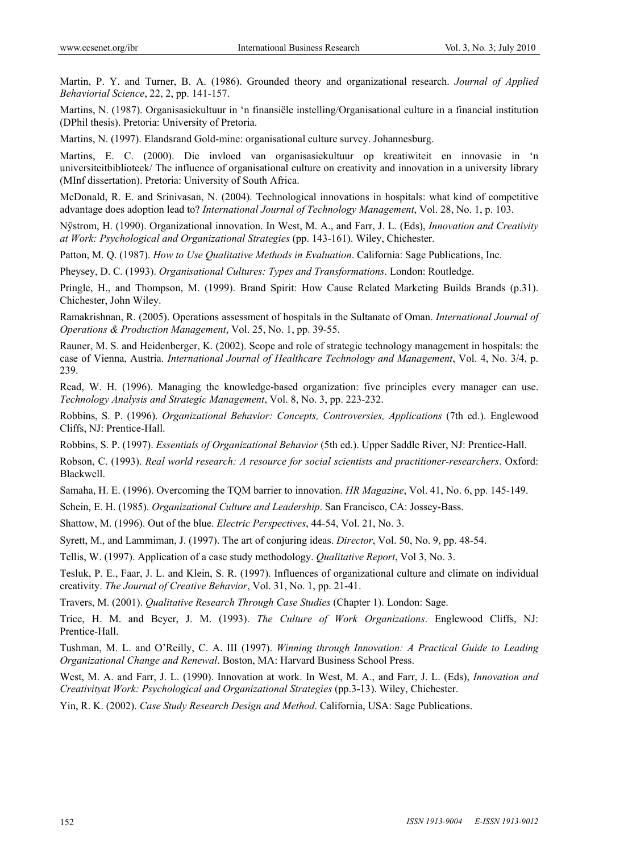Martin, P. Y. and Turner, B. A. (1986). Grounded theory and organizational research. *Journal of Applied Behaviorial Science*, 22, 2, pp. 141-157.

Martins, N. (1987). Organisasiekultuur in 'n finansiële instelling/Organisational culture in a financial institution (DPhil thesis). Pretoria: University of Pretoria.

Martins, N. (1997). Elandsrand Gold-mine: organisational culture survey. Johannesburg.

Martins, E. C. (2000). Die invloed van organisasiekultuur op kreatiwiteit en innovasie in 'n universiteitbiblioteek/ The influence of organisational culture on creativity and innovation in a university library (MInf dissertation). Pretoria: University of South Africa.

McDonald, R. E. and Srinivasan, N. (2004). Technological innovations in hospitals: what kind of competitive advantage does adoption lead to? *International Journal of Technology Management*, Vol. 28, No. 1, p. 103.

Nÿstrom, H. (1990). Organizational innovation. In West, M. A., and Farr, J. L. (Eds), *Innovation and Creativity at Work: Psychological and Organizational Strategies* (pp. 143-161). Wiley, Chichester.

Patton, M. Q. (1987). *How to Use Qualitative Methods in Evaluation*. California: Sage Publications, Inc.

Pheysey, D. C. (1993). *Organisational Cultures: Types and Transformations*. London: Routledge.

Pringle, H., and Thompson, M. (1999). Brand Spirit: How Cause Related Marketing Builds Brands (p.31). Chichester, John Wiley.

Ramakrishnan, R. (2005). Operations assessment of hospitals in the Sultanate of Oman. *International Journal of Operations & Production Management*, Vol. 25, No. 1, pp. 39-55.

Rauner, M. S. and Heidenberger, K. (2002). Scope and role of strategic technology management in hospitals: the case of Vienna, Austria. *International Journal of Healthcare Technology and Management*, Vol. 4, No. 3/4, p. 239.

Read, W. H. (1996). Managing the knowledge-based organization: five principles every manager can use. *Technology Analysis and Strategic Management*, Vol. 8, No. 3, pp. 223-232.

Robbins, S. P. (1996). *Organizational Behavior: Concepts, Controversies, Applications* (7th ed.). Englewood Cliffs, NJ: Prentice-Hall.

Robbins, S. P. (1997). *Essentials of Organizational Behavior* (5th ed.). Upper Saddle River, NJ: Prentice-Hall.

Robson, C. (1993). *Real world research: A resource for social scientists and practitioner-researchers*. Oxford: Blackwell.

Samaha, H. E. (1996). Overcoming the TQM barrier to innovation. *HR Magazine*, Vol. 41, No. 6, pp. 145-149.

Schein, E. H. (1985). *Organizational Culture and Leadership*. San Francisco, CA: Jossey-Bass.

Shattow, M. (1996). Out of the blue. *Electric Perspectives*, 44-54, Vol. 21, No. 3.

Syrett, M., and Lammiman, J. (1997). The art of conjuring ideas. *Director*, Vol. 50, No. 9, pp. 48-54.

Tellis, W. (1997). Application of a case study methodology. *Qualitative Report*, Vol 3, No. 3.

Tesluk, P. E., Faar, J. L. and Klein, S. R. (1997). Influences of organizational culture and climate on individual creativity. *The Journal of Creative Behavior*, Vol. 31, No. 1, pp. 21-41.

Travers, M. (2001). *Qualitative Research Through Case Studies* (Chapter 1). London: Sage.

Trice, H. M. and Beyer, J. M. (1993). *The Culture of Work Organizations*. Englewood Cliffs, NJ: Prentice-Hall.

Tushman, M. L. and O'Reilly, C. A. III (1997). *Winning through Innovation: A Practical Guide to Leading Organizational Change and Renewal*. Boston, MA: Harvard Business School Press.

West, M. A. and Farr, J. L. (1990). Innovation at work. In West, M. A., and Farr, J. L. (Eds), *Innovation and Creativityat Work: Psychological and Organizational Strategies* (pp.3-13). Wiley, Chichester.

Yin, R. K. (2002). *Case Study Research Design and Method*. California, USA: Sage Publications.